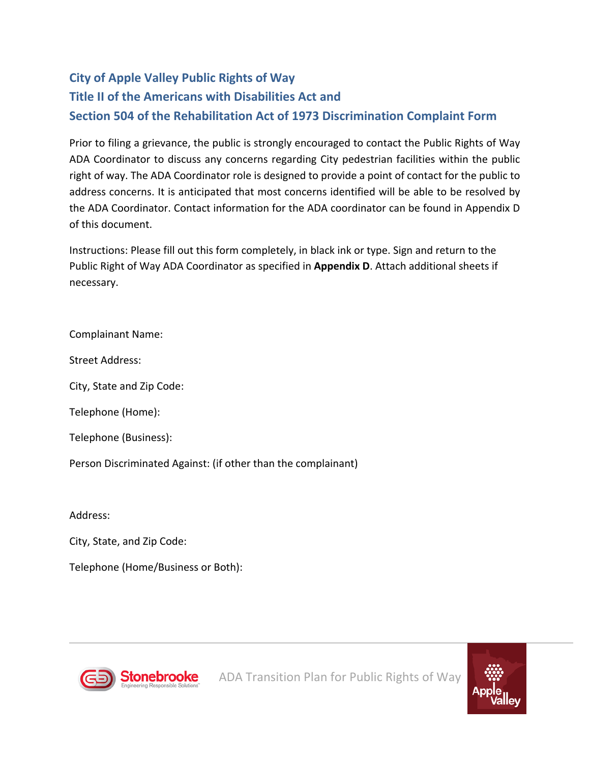## **City of Apple Valley Public Rights of Way Title II of the Americans with Disabilities Act and Section 504 of the Rehabilitation Act of 1973 Discrimination Complaint Form**

Prior to filing a grievance, the public is strongly encouraged to contact the Public Rights of Way ADA Coordinator to discuss any concerns regarding City pedestrian facilities within the public right of way. The ADA Coordinator role is designed to provide a point of contact for the public to address concerns. It is anticipated that most concerns identified will be able to be resolved by the ADA Coordinator. Contact information for the ADA coordinator can be found in Appendix D of this document.

Instructions: Please fill out this form completely, in black ink or type. Sign and return to the Public Right of Way ADA Coordinator as specified in **Appendix D**. Attach additional sheets if necessary.

Complainant Name:

Street Address:

City, State and Zip Code:

Telephone (Home):

Telephone (Business):

Person Discriminated Against: (if other than the complainant)

Address:

City, State, and Zip Code:

Telephone (Home/Business or Both):



ADA Transition Plan for Public Rights of Way

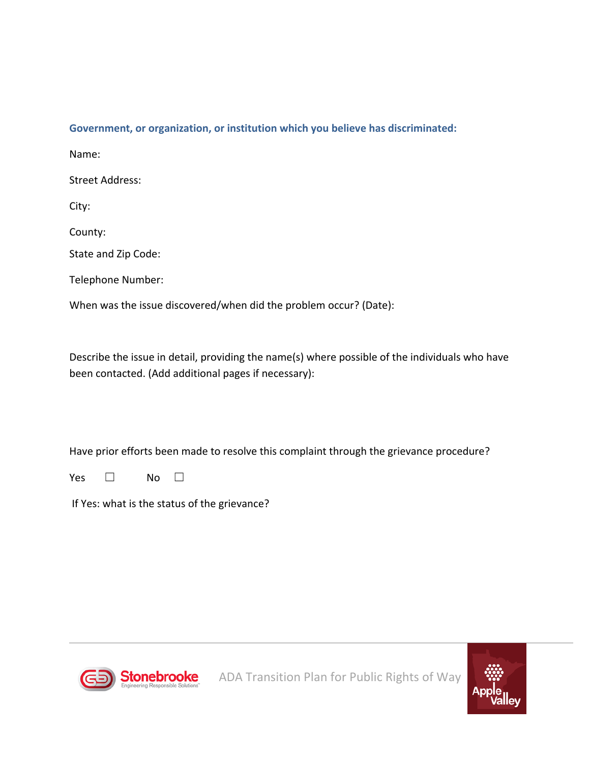## **Government, or organization, or institution which you believe has discriminated:**

Name:

Street Address:

City:

County:

State and Zip Code:

Telephone Number:

When was the issue discovered/when did the problem occur? (Date):

Describe the issue in detail, providing the name(s) where possible of the individuals who have been contacted. (Add additional pages if necessary):

Have prior efforts been made to resolve this complaint through the grievance procedure?

Yes □ No □

If Yes: what is the status of the grievance?



ADA Transition Plan for Public Rights of Way

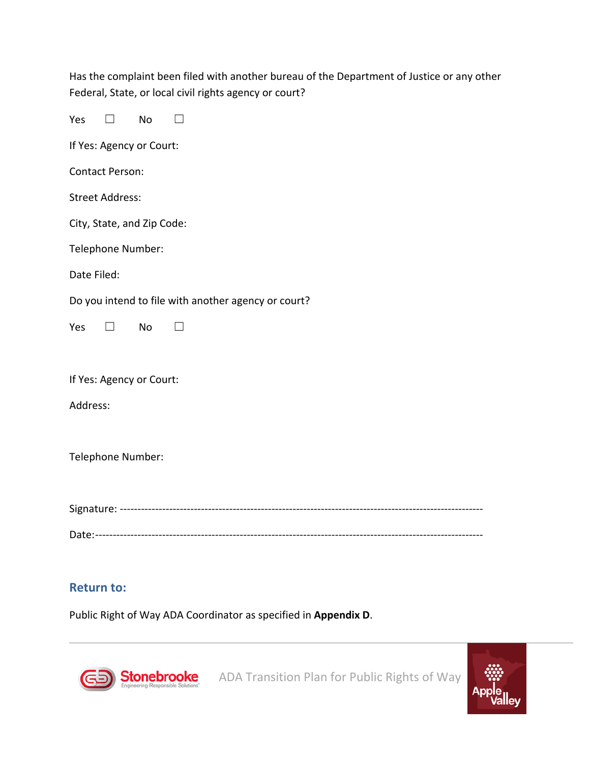| Has the complaint been filed with another bureau of the Department of Justice or any other |
|--------------------------------------------------------------------------------------------|
| Federal, State, or local civil rights agency or court?                                     |

| Yes<br>No<br>$\Box$                                 |
|-----------------------------------------------------|
| If Yes: Agency or Court:                            |
| <b>Contact Person:</b>                              |
| <b>Street Address:</b>                              |
| City, State, and Zip Code:                          |
| Telephone Number:                                   |
| Date Filed:                                         |
| Do you intend to file with another agency or court? |
| Yes<br>No<br>$\perp$                                |
|                                                     |
| If Yes: Agency or Court:                            |
| Address:                                            |
|                                                     |
| Telephone Number:                                   |
|                                                     |
|                                                     |
|                                                     |

## **Return to:**

Public Right of Way ADA Coordinator as specified in **Appendix D**.



**Stonebrooke** ADA Transition Plan for Public Rights of Way